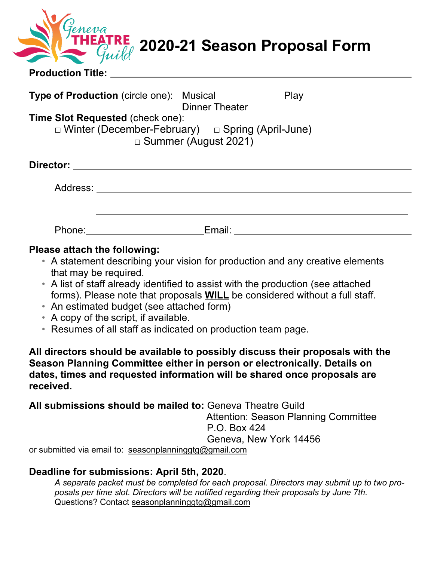|                          | THEATRE 2020-21 Season Proposal Form |
|--------------------------|--------------------------------------|
| <b>Production Title:</b> |                                      |

| <b>Type of Production</b> (circle one): Musical                                                         | <b>Dinner Theater</b>       | Play |
|---------------------------------------------------------------------------------------------------------|-----------------------------|------|
| <b>Time Slot Requested (check one):</b><br>$\Box$ Winter (December-February) $\Box$ Spring (April-June) | $\Box$ Summer (August 2021) |      |
| Director:                                                                                               |                             |      |
| Address:                                                                                                |                             |      |

Phone: Email: Email: Email: Email: Email: Email: Email: Email: Email: Email: Email: Email: Email: Email: Email: Email: Email: Email: Email: Email: Email: Email: Email: Email: Email: Email: Email: Email: Email: Email: Email

## **Please attach the following:**

- A statement describing your vision for production and any creative elements that may be required.
- A list of staff already identified to assist with the production (see attached forms). Please note that proposals **WILL** be considered without a full staff.
- An estimated budget (see attached form)
- A copy of the script, if available.
- Resumes of all staff as indicated on production team page.

**All directors should be available to possibly discuss their proposals with the Season Planning Committee either in person or electronically. Details on dates, times and requested information will be shared once proposals are received.**

**All submissions should be mailed to:** Geneva Theatre Guild

Attention: Season Planning Committee P.O. Box 424 Geneva, New York 14456

or submitted via email to: seasonplanninggtg@gmail.com

## **Deadline for submissions: April 5th, 2020**.

*A separate packet must be completed for each proposal. Directors may submit up to two proposals per time slot. Directors will be notified regarding their proposals by June 7th.* Questions? Contact seasonplanninggtg@gmail.com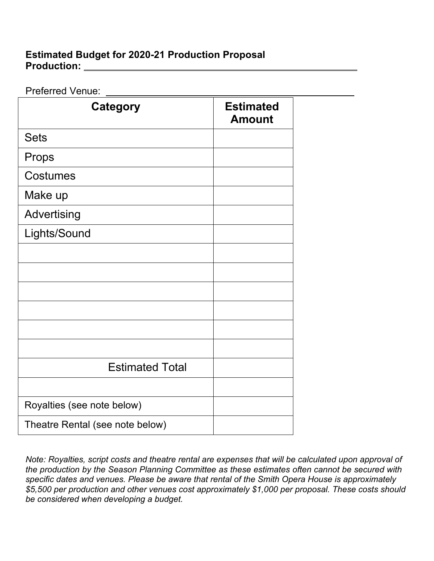## **Estimated Budget for 2020-21 Production Proposal Production:**

Preferred Venue: Went and American Contract of The Contract of The Contract of The Contract of The Contract of The Contract of The Contract of The Contract of The Contract of The Contract of The Contract of The Contract of

| <b>Category</b>                 | <b>Estimated</b><br><b>Amount</b> |  |
|---------------------------------|-----------------------------------|--|
| <b>Sets</b>                     |                                   |  |
| Props                           |                                   |  |
| Costumes                        |                                   |  |
| Make up                         |                                   |  |
| Advertising                     |                                   |  |
| Lights/Sound                    |                                   |  |
|                                 |                                   |  |
|                                 |                                   |  |
|                                 |                                   |  |
|                                 |                                   |  |
|                                 |                                   |  |
|                                 |                                   |  |
| <b>Estimated Total</b>          |                                   |  |
|                                 |                                   |  |
| Royalties (see note below)      |                                   |  |
| Theatre Rental (see note below) |                                   |  |

*Note: Royalties, script costs and theatre rental are expenses that will be calculated upon approval of the production by the Season Planning Committee as these estimates often cannot be secured with specific dates and venues. Please be aware that rental of the Smith Opera House is approximately \$5,500 per production and other venues cost approximately \$1,000 per proposal. These costs should be considered when developing a budget.*